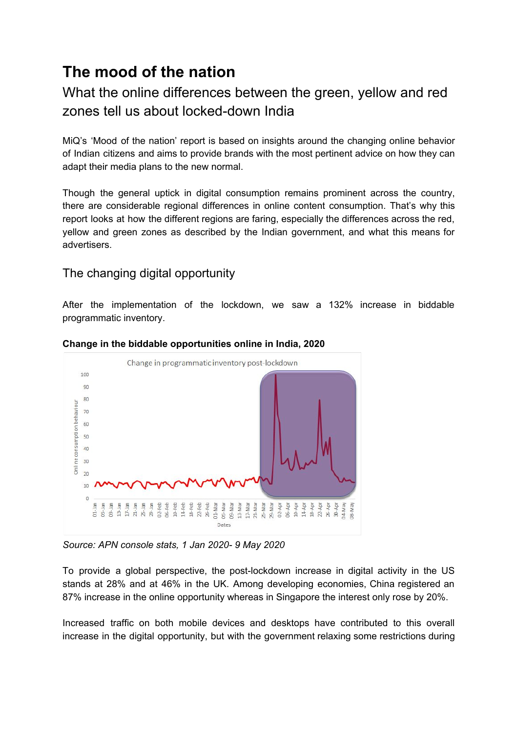# **The mood of the nation**

# What the online differences between the green, yellow and red zones tell us about locked-down India

MiQ's 'Mood of the nation' report is based on insights around the changing online behavior of Indian citizens and aims to provide brands with the most pertinent advice on how they can adapt their media plans to the new normal.

Though the general uptick in digital consumption remains prominent across the country, there are considerable regional differences in online content consumption. That's why this report looks at how the different regions are faring, especially the differences across the red, yellow and green zones as described by the Indian government, and what this means for advertisers.

# The changing digital opportunity

After the implementation of the lockdown, we saw a 132% increase in biddable programmatic inventory.



#### **Change in the biddable opportunities online in India, 2020**

*Source: APN console stats, 1 Jan 2020- 9 May 2020*

To provide a global perspective, the post-lockdown increase in digital activity in the US stands at 28% and at 46% in the UK. Among developing economies, China registered an 87% increase in the online opportunity whereas in Singapore the interest only rose by 20%.

Increased traffic on both mobile devices and desktops have contributed to this overall increase in the digital opportunity, but with the government relaxing some restrictions during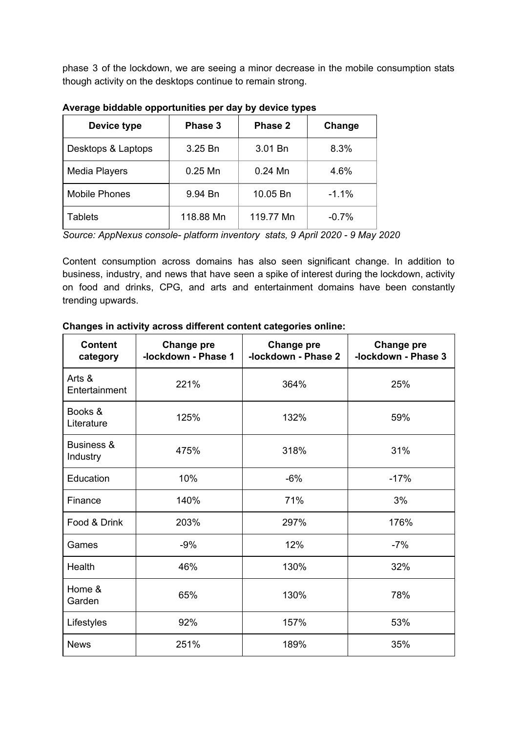phase 3 of the lockdown, we are seeing a minor decrease in the mobile consumption stats though activity on the desktops continue to remain strong.

| Device type          | Phase 3   | Phase 2   | Change  |
|----------------------|-----------|-----------|---------|
| Desktops & Laptops   | 3.25 Bn   | 3.01 Bn   | 8.3%    |
| Media Players        | $0.25$ Mn | $0.24$ Mn | 4.6%    |
| <b>Mobile Phones</b> | 9.94 Bn   | 10.05 Bn  | $-1.1%$ |
| Tablets              | 118.88 Mn | 119.77 Mn | $-0.7%$ |

**Average biddable opportunities per day by device types**

*Source: AppNexus console- platform inventory stats, 9 April 2020 - 9 May 2020*

Content consumption across domains has also seen significant change. In addition to business, industry, and news that have seen a spike of interest during the lockdown, activity on food and drinks, CPG, and arts and entertainment domains have been constantly trending upwards.

| <b>Content</b><br>category | Change pre<br>-lockdown - Phase 1 | <b>Change pre</b><br>-lockdown - Phase 2 | <b>Change pre</b><br>-lockdown - Phase 3 |
|----------------------------|-----------------------------------|------------------------------------------|------------------------------------------|
| Arts &<br>Entertainment    | 221%                              | 364%                                     | 25%                                      |
| Books &<br>Literature      | 125%                              | 132%                                     | 59%                                      |
| Business &<br>Industry     | 475%                              | 318%                                     | 31%                                      |
| Education                  | 10%                               | $-6%$                                    | $-17%$                                   |
| Finance                    | 140%                              | 71%                                      | 3%                                       |
| Food & Drink               | 203%                              | 297%                                     | 176%                                     |
| Games                      | $-9%$                             | 12%                                      | $-7%$                                    |
| Health                     | 46%                               | 130%                                     | 32%                                      |
| Home &<br>Garden           | 65%                               | 130%                                     | 78%                                      |
| Lifestyles                 | 92%                               | 157%                                     | 53%                                      |
| <b>News</b>                | 251%                              | 189%                                     | 35%                                      |

#### **Changes in activity across different content categories online:**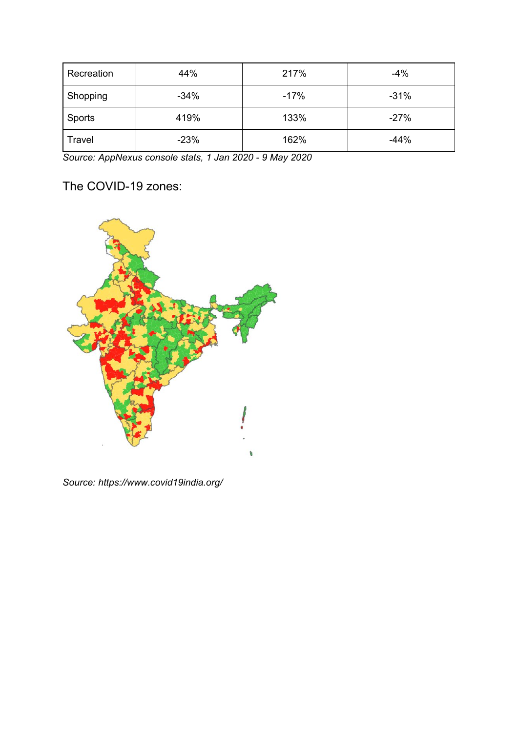| Recreation | 44%    | 217%   | $-4%$  |
|------------|--------|--------|--------|
| Shopping   | $-34%$ | $-17%$ | $-31%$ |
| Sports     | 419%   | 133%   | $-27%$ |
| Travel     | $-23%$ | 162%   | $-44%$ |

*Source: AppNexus console stats, 1 Jan 2020 - 9 May 2020*

The COVID-19 zones:



*Source: <https://www.covid19india.org/>*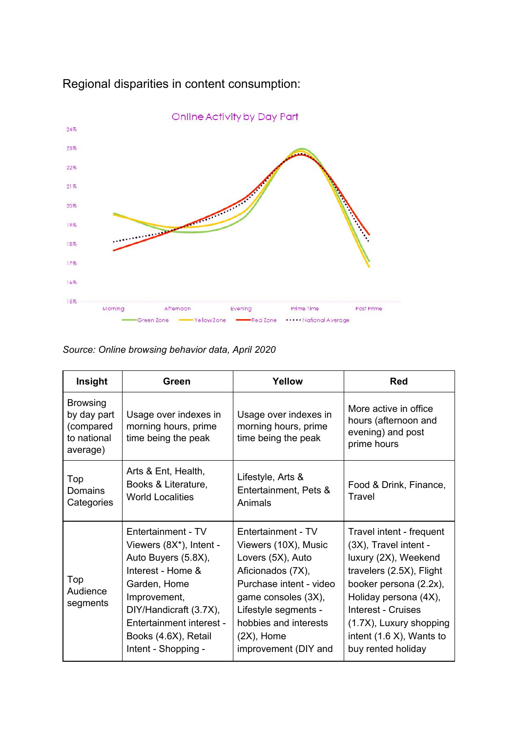

# Regional disparities in content consumption:

*Source: Online browsing behavior data, April 2020*

| Insight                                                                | Green                                                                                                                                                                                                                          | Yellow                                                                                                                                                                                                                           | Red                                                                                                                                                                                                                                                            |
|------------------------------------------------------------------------|--------------------------------------------------------------------------------------------------------------------------------------------------------------------------------------------------------------------------------|----------------------------------------------------------------------------------------------------------------------------------------------------------------------------------------------------------------------------------|----------------------------------------------------------------------------------------------------------------------------------------------------------------------------------------------------------------------------------------------------------------|
| <b>Browsing</b><br>by day part<br>(compared<br>to national<br>average) | Usage over indexes in<br>morning hours, prime<br>time being the peak                                                                                                                                                           | Usage over indexes in<br>morning hours, prime<br>time being the peak                                                                                                                                                             | More active in office<br>hours (afternoon and<br>evening) and post<br>prime hours                                                                                                                                                                              |
| Top<br>Domains<br>Categories                                           | Arts & Ent, Health,<br>Books & Literature,<br><b>World Localities</b>                                                                                                                                                          | Lifestyle, Arts &<br>Entertainment, Pets &<br>Animals                                                                                                                                                                            | Food & Drink, Finance,<br>Travel                                                                                                                                                                                                                               |
| Top<br>Audience<br>segments                                            | Entertainment - TV<br>Viewers (8X*), Intent -<br>Auto Buyers (5.8X),<br>Interest - Home &<br>Garden, Home<br>Improvement,<br>DIY/Handicraft (3.7X),<br>Entertainment interest -<br>Books (4.6X), Retail<br>Intent - Shopping - | Entertainment - TV<br>Viewers (10X), Music<br>Lovers (5X), Auto<br>Aficionados (7X),<br>Purchase intent - video<br>game consoles (3X),<br>Lifestyle segments -<br>hobbies and interests<br>$(2X)$ , Home<br>improvement (DIY and | Travel intent - frequent<br>(3X), Travel intent -<br>luxury (2X), Weekend<br>travelers (2.5X), Flight<br>booker persona (2.2x),<br>Holiday persona (4X),<br>Interest - Cruises<br>(1.7X), Luxury shopping<br>intent $(1.6 X)$ , Wants to<br>buy rented holiday |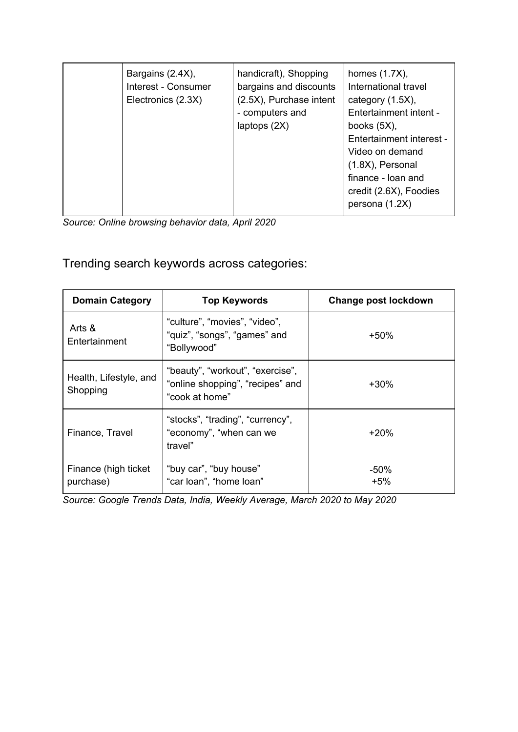| Bargains (2.4X),<br>Interest - Consumer<br>Electronics (2.3X) | handicraft), Shopping<br>bargains and discounts<br>(2.5X), Purchase intent<br>- computers and<br>laptops $(2X)$ | homes $(1.7X)$ ,<br>International travel<br>category $(1.5X)$ ,<br>Entertainment intent -<br>books $(5X)$ ,<br>Entertainment interest -<br>Video on demand<br>(1.8X), Personal<br>finance - loan and<br>credit (2.6X), Foodies<br>persona (1.2X) |
|---------------------------------------------------------------|-----------------------------------------------------------------------------------------------------------------|--------------------------------------------------------------------------------------------------------------------------------------------------------------------------------------------------------------------------------------------------|
|---------------------------------------------------------------|-----------------------------------------------------------------------------------------------------------------|--------------------------------------------------------------------------------------------------------------------------------------------------------------------------------------------------------------------------------------------------|

*Source: Online browsing behavior data, April 2020*

Trending search keywords across categories:

| <b>Domain Category</b>             | <b>Top Keywords</b>                                                                    | Change post lockdown |
|------------------------------------|----------------------------------------------------------------------------------------|----------------------|
| Arts &<br>Entertainment            | "culture", "movies", "video",<br>"quiz", "songs", "games" and<br>"Bollywood"           | $+50%$               |
| Health, Lifestyle, and<br>Shopping | "beauty", "workout", "exercise",<br>"online shopping", "recipes" and<br>"cook at home" | $+30\%$              |
| Finance, Travel                    | "stocks", "trading", "currency",<br>"economy", "when can we<br>travel"                 | $+20%$               |
| Finance (high ticket<br>purchase)  | "buy car", "buy house"<br>"car loan", "home loan"                                      | $-50\%$<br>$+5\%$    |

*Source: Google Trends Data, India, Weekly Average, March 2020 to May 2020*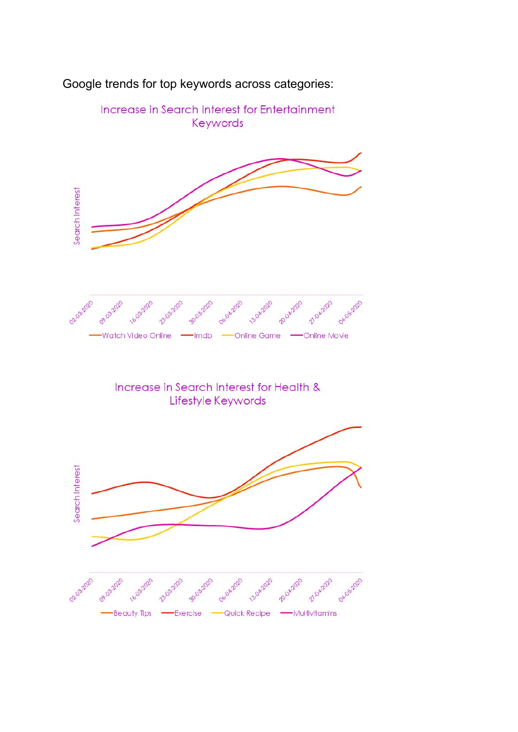

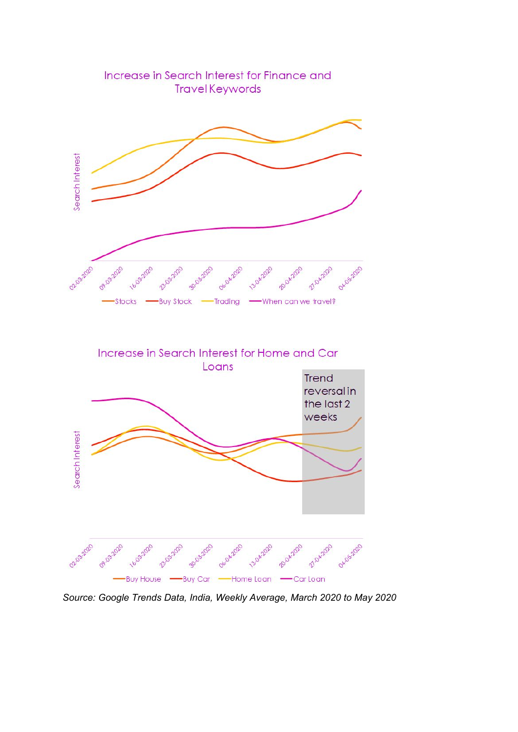

*Source: Google Trends Data, India, Weekly Average, March 2020 to May 2020*